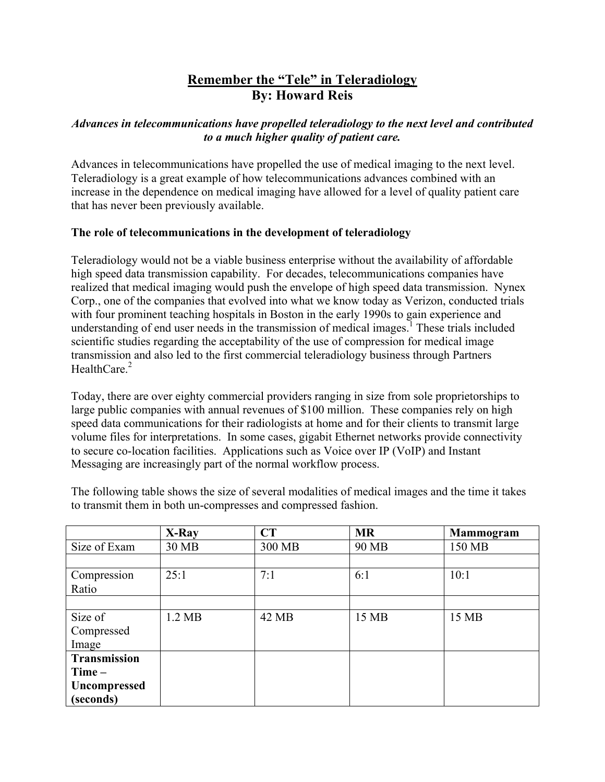# **Remember the "Tele" in Teleradiology By: Howard Reis**

## *Advances in telecommunications have propelled teleradiology to the next level and contributed to a much higher quality of patient care.*

Advances in telecommunications have propelled the use of medical imaging to the next level. Teleradiology is a great example of how telecommunications advances combined with an increase in the dependence on medical imaging have allowed for a level of quality patient care that has never been previously available.

## **The role of telecommunications in the development of teleradiology**

Teleradiology would not be a viable business enterprise without the availability of affordable high speed data transmission capability. For decades, telecommunications companies have realized that medical imaging would push the envelope of high speed data transmission. Nynex Corp., one of the companies that evolved into what we know today as Verizon, conducted trials with four prominent teaching hospitals in Boston in the early 1990s to gain experience and understanding of end user needs in the transmission of medical images.<sup>1</sup> These trials included scientific studies regarding the acceptability of the use of compression for medical image transmission and also led to the first commercial teleradiology business through Partners HealthCare $<sup>2</sup>$ </sup>

Today, there are over eighty commercial providers ranging in size from sole proprietorships to large public companies with annual revenues of \$100 million. These companies rely on high speed data communications for their radiologists at home and for their clients to transmit large volume files for interpretations. In some cases, gigabit Ethernet networks provide connectivity to secure co-location facilities. Applications such as Voice over IP (VoIP) and Instant Messaging are increasingly part of the normal workflow process.

|                     | X-Ray            | CT     | <b>MR</b> | <b>Mammogram</b> |
|---------------------|------------------|--------|-----------|------------------|
| Size of Exam        | 30 MB            | 300 MB | 90 MB     | 150 MB           |
|                     |                  |        |           |                  |
| Compression         | 25:1             | 7:1    | 6:1       | 10:1             |
| Ratio               |                  |        |           |                  |
|                     |                  |        |           |                  |
| Size of             | $1.2 \text{ MB}$ | 42 MB  | 15 MB     | 15 MB            |
| Compressed          |                  |        |           |                  |
| Image               |                  |        |           |                  |
| <b>Transmission</b> |                  |        |           |                  |
| $Time -$            |                  |        |           |                  |
| <b>Uncompressed</b> |                  |        |           |                  |
| (seconds)           |                  |        |           |                  |

The following table shows the size of several modalities of medical images and the time it takes to transmit them in both un-compresses and compressed fashion.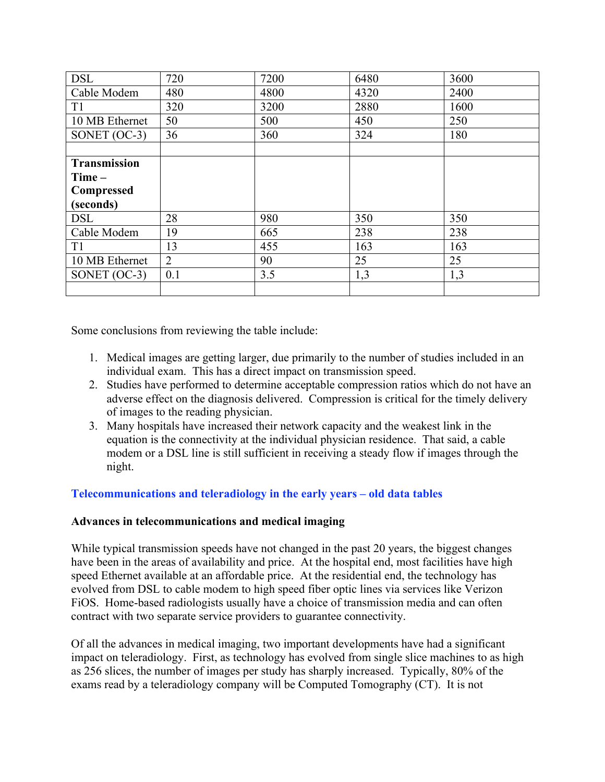| <b>DSL</b>          | 720            | 7200 | 6480 | 3600 |
|---------------------|----------------|------|------|------|
| Cable Modem         | 480            | 4800 | 4320 | 2400 |
| T <sub>1</sub>      | 320            | 3200 | 2880 | 1600 |
| 10 MB Ethernet      | 50             | 500  | 450  | 250  |
| SONET $(OC-3)$      | 36             | 360  | 324  | 180  |
|                     |                |      |      |      |
| <b>Transmission</b> |                |      |      |      |
| $Time -$            |                |      |      |      |
| Compressed          |                |      |      |      |
| (seconds)           |                |      |      |      |
| <b>DSL</b>          | 28             | 980  | 350  | 350  |
| Cable Modem         | 19             | 665  | 238  | 238  |
| T <sub>1</sub>      | 13             | 455  | 163  | 163  |
| 10 MB Ethernet      | $\overline{2}$ | 90   | 25   | 25   |
| SONET $(OC-3)$      | 0.1            | 3.5  | 1,3  | 1,3  |
|                     |                |      |      |      |

Some conclusions from reviewing the table include:

- 1. Medical images are getting larger, due primarily to the number of studies included in an individual exam. This has a direct impact on transmission speed.
- 2. Studies have performed to determine acceptable compression ratios which do not have an adverse effect on the diagnosis delivered. Compression is critical for the timely delivery of images to the reading physician.
- 3. Many hospitals have increased their network capacity and the weakest link in the equation is the connectivity at the individual physician residence. That said, a cable modem or a DSL line is still sufficient in receiving a steady flow if images through the night.

# **Telecommunications and teleradiology in the early years – old data tables**

### **Advances in telecommunications and medical imaging**

While typical transmission speeds have not changed in the past 20 years, the biggest changes have been in the areas of availability and price. At the hospital end, most facilities have high speed Ethernet available at an affordable price. At the residential end, the technology has evolved from DSL to cable modem to high speed fiber optic lines via services like Verizon FiOS. Home-based radiologists usually have a choice of transmission media and can often contract with two separate service providers to guarantee connectivity.

Of all the advances in medical imaging, two important developments have had a significant impact on teleradiology. First, as technology has evolved from single slice machines to as high as 256 slices, the number of images per study has sharply increased. Typically, 80% of the exams read by a teleradiology company will be Computed Tomography (CT). It is not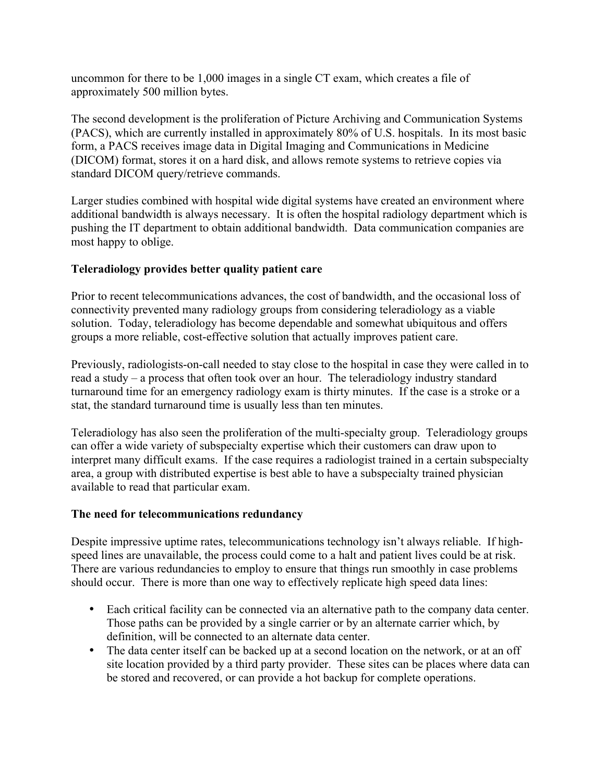uncommon for there to be 1,000 images in a single CT exam, which creates a file of approximately 500 million bytes.

The second development is the proliferation of Picture Archiving and Communication Systems (PACS), which are currently installed in approximately 80% of U.S. hospitals. In its most basic form, a PACS receives image data in Digital Imaging and Communications in Medicine (DICOM) format, stores it on a hard disk, and allows remote systems to retrieve copies via standard DICOM query/retrieve commands.

Larger studies combined with hospital wide digital systems have created an environment where additional bandwidth is always necessary. It is often the hospital radiology department which is pushing the IT department to obtain additional bandwidth. Data communication companies are most happy to oblige.

## **Teleradiology provides better quality patient care**

Prior to recent telecommunications advances, the cost of bandwidth, and the occasional loss of connectivity prevented many radiology groups from considering teleradiology as a viable solution. Today, teleradiology has become dependable and somewhat ubiquitous and offers groups a more reliable, cost-effective solution that actually improves patient care.

Previously, radiologists-on-call needed to stay close to the hospital in case they were called in to read a study – a process that often took over an hour. The teleradiology industry standard turnaround time for an emergency radiology exam is thirty minutes. If the case is a stroke or a stat, the standard turnaround time is usually less than ten minutes.

Teleradiology has also seen the proliferation of the multi-specialty group. Teleradiology groups can offer a wide variety of subspecialty expertise which their customers can draw upon to interpret many difficult exams. If the case requires a radiologist trained in a certain subspecialty area, a group with distributed expertise is best able to have a subspecialty trained physician available to read that particular exam.

### **The need for telecommunications redundancy**

Despite impressive uptime rates, telecommunications technology isn't always reliable. If highspeed lines are unavailable, the process could come to a halt and patient lives could be at risk. There are various redundancies to employ to ensure that things run smoothly in case problems should occur. There is more than one way to effectively replicate high speed data lines:

- Each critical facility can be connected via an alternative path to the company data center. Those paths can be provided by a single carrier or by an alternate carrier which, by definition, will be connected to an alternate data center.
- The data center itself can be backed up at a second location on the network, or at an off site location provided by a third party provider. These sites can be places where data can be stored and recovered, or can provide a hot backup for complete operations.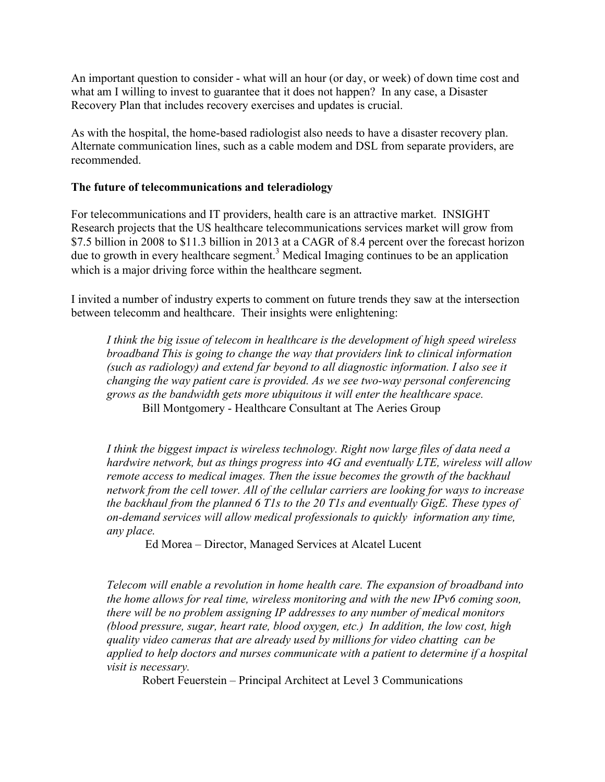An important question to consider - what will an hour (or day, or week) of down time cost and what am I willing to invest to guarantee that it does not happen? In any case, a Disaster Recovery Plan that includes recovery exercises and updates is crucial.

As with the hospital, the home-based radiologist also needs to have a disaster recovery plan. Alternate communication lines, such as a cable modem and DSL from separate providers, are recommended.

#### **The future of telecommunications and teleradiology**

For telecommunications and IT providers, health care is an attractive market. INSIGHT Research projects that the US healthcare telecommunications services market will grow from \$7.5 billion in 2008 to \$11.3 billion in 2013 at a CAGR of 8.4 percent over the forecast horizon due to growth in every healthcare segment.<sup>3</sup> Medical Imaging continues to be an application which is a major driving force within the healthcare segment.

I invited a number of industry experts to comment on future trends they saw at the intersection between telecomm and healthcare. Their insights were enlightening:

*I think the big issue of telecom in healthcare is the development of high speed wireless broadband This is going to change the way that providers link to clinical information (such as radiology) and extend far beyond to all diagnostic information. I also see it changing the way patient care is provided. As we see two-way personal conferencing grows as the bandwidth gets more ubiquitous it will enter the healthcare space.*  Bill Montgomery - Healthcare Consultant at The Aeries Group

*I think the biggest impact is wireless technology. Right now large files of data need a hardwire network, but as things progress into 4G and eventually LTE, wireless will allow remote access to medical images. Then the issue becomes the growth of the backhaul network from the cell tower. All of the cellular carriers are looking for ways to increase the backhaul from the planned 6 T1s to the 20 T1s and eventually GigE. These types of on-demand services will allow medical professionals to quickly information any time, any place.*

Ed Morea – Director, Managed Services at Alcatel Lucent

*Telecom will enable a revolution in home health care. The expansion of broadband into the home allows for real time, wireless monitoring and with the new IPv6 coming soon, there will be no problem assigning IP addresses to any number of medical monitors (blood pressure, sugar, heart rate, blood oxygen, etc.) In addition, the low cost, high quality video cameras that are already used by millions for video chatting can be applied to help doctors and nurses communicate with a patient to determine if a hospital visit is necessary.* 

Robert Feuerstein – Principal Architect at Level 3 Communications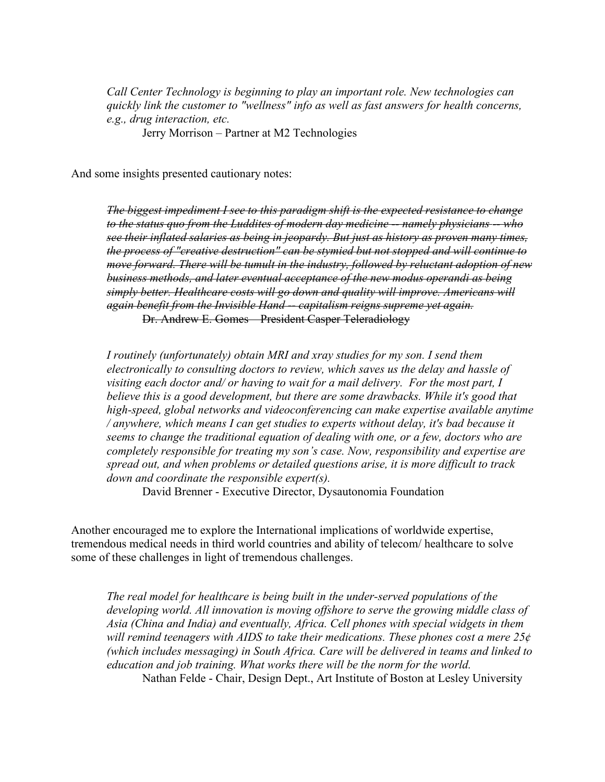*Call Center Technology is beginning to play an important role. New technologies can quickly link the customer to "wellness" info as well as fast answers for health concerns, e.g., drug interaction, etc.* 

Jerry Morrison – Partner at M2 Technologies

And some insights presented cautionary notes:

*The biggest impediment I see to this paradigm shift is the expected resistance to change to the status quo from the Luddites of modern day medicine -- namely physicians -- who see their inflated salaries as being in jeopardy. But just as history as proven many times, the process of "creative destruction" can be stymied but not stopped and will continue to move forward. There will be tumult in the industry, followed by reluctant adoption of new business methods, and later eventual acceptance of the new modus operandi as being simply better. Healthcare costs will go down and quality will improve. Americans will again benefit from the Invisible Hand -- capitalism reigns supreme yet again.*  Dr. Andrew E. Gomes – President Casper Teleradiology

*I routinely (unfortunately) obtain MRI and xray studies for my son. I send them electronically to consulting doctors to review, which saves us the delay and hassle of visiting each doctor and/ or having to wait for a mail delivery. For the most part, I believe this is a good development, but there are some drawbacks. While it's good that high-speed, global networks and videoconferencing can make expertise available anytime / anywhere, which means I can get studies to experts without delay, it's bad because it seems to change the traditional equation of dealing with one, or a few, doctors who are completely responsible for treating my son's case. Now, responsibility and expertise are spread out, and when problems or detailed questions arise, it is more difficult to track down and coordinate the responsible expert(s).*

David Brenner - Executive Director, Dysautonomia Foundation

Another encouraged me to explore the International implications of worldwide expertise, tremendous medical needs in third world countries and ability of telecom/ healthcare to solve some of these challenges in light of tremendous challenges.

*The real model for healthcare is being built in the under-served populations of the developing world. All innovation is moving offshore to serve the growing middle class of Asia (China and India) and eventually, Africa. Cell phones with special widgets in them will remind teenagers with AIDS to take their medications. These phones cost a mere 25¢ (which includes messaging) in South Africa. Care will be delivered in teams and linked to education and job training. What works there will be the norm for the world.* Nathan Felde - Chair, Design Dept., Art Institute of Boston at Lesley University